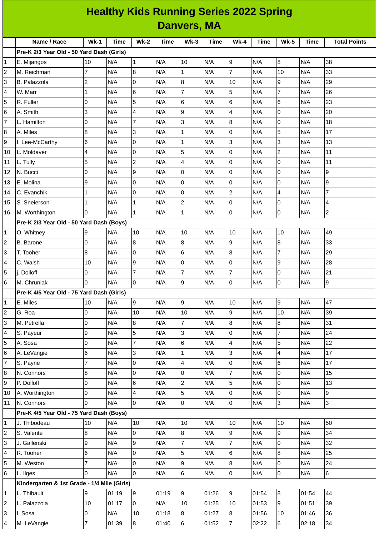| <b>Healthy Kids Running Series 2022 Spring</b> |                                             |                |       |                         |             |                 |             |                 |       |                         |             |                     |
|------------------------------------------------|---------------------------------------------|----------------|-------|-------------------------|-------------|-----------------|-------------|-----------------|-------|-------------------------|-------------|---------------------|
| <b>Danvers, MA</b>                             |                                             |                |       |                         |             |                 |             |                 |       |                         |             |                     |
|                                                | Name / Race                                 | $Wk-1$         | Time  | $Wk-2$                  | <b>Time</b> | $Wk-3$          | <b>Time</b> | $Wk-4$          | Time  | <b>Wk-5</b>             | <b>Time</b> | <b>Total Points</b> |
|                                                | Pre-K 2/3 Year Old - 50 Yard Dash (Girls)   |                |       |                         |             |                 |             |                 |       |                         |             |                     |
| 1                                              | E. Mijangos                                 | 10             | N/A   | $\mathbf{1}$            | N/A         | 10              | N/A         | 9               | N/A   | $\boldsymbol{8}$        | N/A         | 38                  |
| 2                                              | M. Reichman                                 | $\overline{7}$ | N/A   | $\overline{8}$          | N/A         | $\mathbf{1}$    | N/A         | $\overline{7}$  | N/A   | 10                      | N/A         | 33                  |
| 3                                              | B. Palazzola                                | $\overline{c}$ | N/A   | 0                       | N/A         | 8               | N/A         | 10              | N/A   | 9                       | N/A         | 29                  |
| 4                                              | W. Marr                                     | 1              | N/A   | $6\phantom{.}$          | N/A         | $\overline{7}$  | N/A         | 5               | N/A   | $\overline{7}$          | N/A         | 26                  |
| 5                                              | R. Fuller                                   | 0              | N/A   | 5                       | N/A         | 6               | N/A         | 6               | N/A   | 6                       | N/A         | 23                  |
| 6                                              | A. Smith                                    | 3              | N/A   | $\overline{a}$          | N/A         | 9               | N/A         | 4               | N/A   | 0                       | N/A         | 20                  |
| 7                                              | L. Hamilton                                 | 0              | N/A   | $\overline{7}$          | N/A         | 3               | N/A         | 8               | N/A   | $\overline{0}$          | N/A         | 18                  |
| 8                                              | A. Miles                                    | 8              | N/A   | 3                       | N/A         | $\mathbf{1}$    | N/A         | 0               | N/A   | 5                       | N/A         | 17                  |
| 9                                              | I. Lee-McCarthy                             | 6              | N/A   | $\overline{0}$          | N/A         | $\mathbf{1}$    | N/A         | 3               | N/A   | 3                       | N/A         | 13                  |
| 10                                             | L. Moldaver                                 | 4              | N/A   | $\overline{0}$          | N/A         | 5               | N/A         | 0               | N/A   | $\overline{c}$          | N/A         | 11                  |
| 11                                             | L. Tully                                    | 5              | N/A   | $\overline{c}$          | N/A         | 4               | N/A         | 0               | N/A   | $\overline{0}$          | N/A         | 11                  |
| 12                                             | N. Bucci                                    | 0              | N/A   | 9                       | N/A         | 0               | N/A         | 0               | N/A   | 0                       | N/A         | 9                   |
| 13                                             | E. Molina                                   | 9              | N/A   | $\overline{0}$          | N/A         | $\mathsf 0$     | N/A         | $\overline{0}$  | N/A   | $\overline{0}$          | N/A         | 9                   |
| 14                                             | C. Evanchik                                 | 1              | N/A   | l0                      | N/A         | 0               | N/A         | $\overline{c}$  | N/A   | 4                       | N/A         | $\overline{7}$      |
| 15                                             | S. Sneierson                                | 1              | N/A   | $\mathbf{1}$            | N/A         | $\overline{c}$  | N/A         | 0               | N/A   | $\overline{0}$          | N/A         | 4                   |
| 16                                             | M. Worthington                              | 0              | N/A   | $\mathbf{1}$            | N/A         | $\mathbf{1}$    | N/A         | 0               | N/A   | $\overline{0}$          | N/A         | $\overline{c}$      |
|                                                | Pre-K 2/3 Year Old - 50 Yard Dash (Boys)    |                |       |                         |             |                 |             |                 |       |                         |             |                     |
| 1                                              | O. Whitney                                  | 9              | N/A   | 10                      | N/A         | 10              | N/A         | 10              | N/A   | 10                      | N/A         | 49                  |
| $\overline{c}$                                 | <b>B.</b> Barone                            | 0              | N/A   | 8                       | N/A         | 8               | N/A         | 9               | N/A   | $\boldsymbol{8}$        | N/A         | 33                  |
| 3                                              | T. Tooher                                   | 8              | N/A   | 0                       | N/A         | 6               | N/A         | 8               | N/A   | $\overline{7}$          | N/A         | 29                  |
| 4                                              | C. Walsh                                    | 10             | N/A   | 9                       | N/A         | 0               | N/A         | 0               | N/A   | 9                       | N/A         | 28                  |
| 5                                              | j. Dolloff                                  | 0              | N/A   | $\overline{7}$          | N/A         | $\overline{7}$  | N/A         | 7               | N/A   | 0                       | N/A         | 21                  |
| 6                                              | M. Chruniak                                 | 0              | N/A   | $\overline{0}$          | N/A         | 9               | N/A         | 0               | N/A   | $\overline{0}$          | N/A         | 9                   |
|                                                | Pre-K 4/5 Year Old - 75 Yard Dash (Girls)   |                |       |                         |             |                 |             |                 |       |                         |             |                     |
| 1                                              | E. Miles                                    | 10             | N/A   | 9                       | N/A         | $\overline{9}$  | N/A         | 10              | N/A   | 9                       | N/A         | 47                  |
| $\mathbf 2$                                    | G. Roa                                      | 0              | N/A   | 10                      | N/A         | 10              | N/A         | $\overline{9}$  | N/A   | 10                      | N/A         | 39                  |
| 3                                              | M. Petrella                                 | 0              | N/A   | 8                       | N/A         | $\overline{7}$  | N/A         | 8               | N/A   | $\boldsymbol{8}$        | N/A         | 31                  |
| 4                                              | S. Payeur                                   | 9              | N/A   | 5                       | N/A         | 3               | N/A         | 0               | N/A   | $\overline{7}$          | N/A         | 24                  |
| 5                                              | A. Sosa                                     | 0              | N/A   | $\overline{7}$          | N/A         | $6\overline{6}$ | N/A         | 4               | N/A   | 5                       | N/A         | 22                  |
| 6                                              | A. LeVangie                                 | 6              | N/A   | 3                       | N/A         | $\mathbf 1$     | N/A         | 3               | N/A   | $\overline{\mathbf{4}}$ | N/A         | 17                  |
| $\overline{7}$                                 | S. Payne                                    | $\overline{7}$ | N/A   | $\mathsf{O}$            | N/A         | $\overline{4}$  | N/A         | $\mathsf{O}$    | N/A   | $\,6$                   | N/A         | 17                  |
| 8                                              | N. Connors                                  | 8              | N/A   | $\overline{0}$          | N/A         | $\overline{0}$  | N/A         | $\overline{7}$  | N/A   | $\overline{0}$          | N/A         | 15                  |
| 9                                              | P. Dolloff                                  | 0              | N/A   | $6\phantom{.}6$         | N/A         | $\overline{2}$  | N/A         | 5               | N/A   | 0                       | N/A         | 13                  |
| 10                                             | A. Worthington                              | 0              | N/A   | $\overline{\mathbf{4}}$ | N/A         | Ţ               | N/A         | $\mathsf{O}$    | N/A   | $\mathsf 0$             | N/A         | 9                   |
| 11                                             | N. Connors                                  | 0              | N/A   | lo.                     | N/A         | $\overline{0}$  | N/A         | $\mathsf{O}$    | N/A   | $\overline{3}$          | N/A         | 3                   |
|                                                | Pre-K 4/5 Year Old - 75 Yard Dash (Boys)    |                |       |                         |             |                 |             |                 |       |                         |             |                     |
| 1                                              | J. Thibodeau                                | 10             | N/A   | 10                      | N/A         | 10              | N/A         | 10              | N/A   | 10                      | N/A         | 50                  |
| $\overline{c}$                                 | S. Valente                                  | 8              | N/A   | $\overline{0}$          | N/A         | 8               | N/A         | $\overline{9}$  | N/A   | 9                       | N/A         | 34                  |
| 3                                              | J. Gallenski                                | 9              | N/A   | 9                       | N/A         | $\overline{7}$  | N/A         | 7               | N/A   | $\mathsf 0$             | N/A         | 32                  |
| 4                                              | R. Tooher                                   | 6              | N/A   | $\mathsf{O}$            | N/A         | 5               | N/A         | $6\overline{6}$ | N/A   | $\bf{8}$                | N/A         | 25                  |
| 5                                              | M. Weston                                   | 7              | N/A   | $\overline{0}$          | N/A         | $\overline{9}$  | N/A         | 8               | N/A   | 0                       | N/A         | 24                  |
| 6                                              | L. Ilges                                    | 0              | N/A   | $\overline{0}$          | N/A         | $6\overline{6}$ | N/A         | 0               | N/A   | $\overline{0}$          | N/A         | $6\phantom{a}$      |
|                                                | Kindergarten & 1st Grade - 1/4 Mile (Girls) |                |       |                         |             |                 |             |                 |       |                         |             |                     |
| 1                                              | L. Thibault                                 | 9              | 01:19 | 9                       | 01:19       | 9               | 01:26       | 9               | 01:54 | $8\phantom{1}$          | 01:54       | 44                  |
| 2                                              | L. Palazzola                                | 10             | 01:17 | $\overline{0}$          | N/A         | 10              | 01:25       | 10              | 01:53 | 9                       | 01:51       | 39                  |
| 3                                              | I. Sosa                                     | 0              | N/A   | 10                      | 01:18       | $8\,$           | 01:27       | 8               | 01:56 | $10\,$                  | 01:46       | 36                  |
| 4                                              | M. LeVangie                                 | $\overline{7}$ | 01:39 | $\bf{8}$                | 01:40       | $6\phantom{a}$  | 01:52       | 7               | 02:22 | $6\phantom{a}$          | 02:18       | 34                  |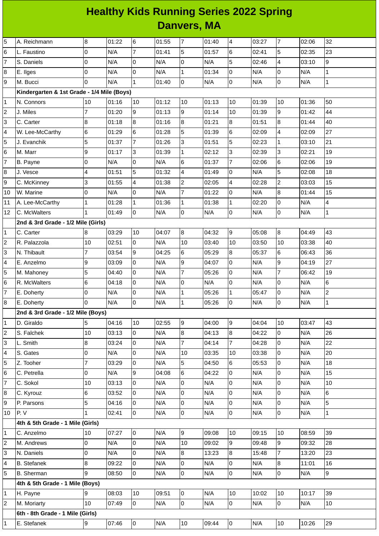## **Healthy Kids Running Series 2022 Spring Danvers, MA**

| 5              | A. Reichmann                               | 8               | 01:22 | $\,6$          | 01:55 | $\overline{7}$      | 01:40 | $\overline{4}$ | 03:27 | $\overline{7}$ | 02:06 | 32             |
|----------------|--------------------------------------------|-----------------|-------|----------------|-------|---------------------|-------|----------------|-------|----------------|-------|----------------|
| 6              | L. Faustino                                | $\overline{0}$  | N/A   | $\overline{7}$ | 01:41 | 5                   | 01:57 | 6              | 02:41 | 5              | 02:35 | 23             |
| 7              | S. Daniels                                 | 0               | N/A   | $\overline{0}$ | N/A   | 0                   | N/A   | 5              | 02:46 | 4              | 03:10 | 9              |
| 8              | E. Ilges                                   | O               | N/A   | $\overline{0}$ | N/A   | $\mathbf{1}$        | 01:34 | $\overline{0}$ | N/A   | 0              | N/A   | $\mathbf{1}$   |
| 9              | M. Bucci                                   | $\overline{0}$  | N/A   | $\mathbf{1}$   | 01:40 | 0                   | N/A   | lo             | N/A   | 0              | N/A   | $\mathbf{1}$   |
|                | Kindergarten & 1st Grade - 1/4 Mile (Boys) |                 |       |                |       |                     |       |                |       |                |       |                |
| 1              | N. Connors                                 | 10              | 01:16 | 10             | 01:12 | 10                  | 01:13 | 10             | 01:39 | 10             | 01:36 | 50             |
| 2              | J. Miles                                   | $\overline{7}$  | 01:20 | 9              | 01:13 | 9                   | 01:14 | 10             | 01:39 | 9              | 01:42 | 44             |
| 3              | C. Carter                                  | 8               | 01:18 | 8              | 01:16 | 8                   | 01:21 | $\, 8$         | 01:51 | 8              | 01:44 | 40             |
| 4              | W. Lee-McCarthy                            | $6\phantom{.}6$ | 01:29 | $6\phantom{a}$ | 01:28 | 5                   | 01:39 | 6              | 02:09 | 4              | 02:09 | 27             |
| 5              | J. Evanchik                                | 5               | 01:37 | $\overline{7}$ | 01:26 | 3                   | 01:51 | 5              | 02:23 | $\mathbf{1}$   | 03:10 | 21             |
| 6              | M. Marr                                    | 9               | 01:17 | $\overline{3}$ | 01:39 | $\mathbf 1$         | 02:12 | 3              | 02:39 | 3              | 02:21 | 19             |
| 7              | B. Payne                                   | $\overline{0}$  | N/A   | 0              | N/A   | 6                   | 01:37 | $\overline{7}$ | 02:06 | 6              | 02:06 | 19             |
| 8              | J. Vesce                                   | $\overline{4}$  | 01:51 | 5              | 01:32 | 4                   | 01:49 | 0              | N/A   | 5              | 02:08 | 18             |
| 9              | C. McKinney                                | 3               | 01:55 | 4              | 01:38 | $\overline{c}$      | 02:05 | $\overline{4}$ | 02:28 | $\overline{c}$ | 03:03 | 15             |
| 10             | W. Marine                                  | O               | N/A   | $\overline{0}$ | N/A   | $\overline{7}$      | 01:22 | $\overline{0}$ | N/A   | 8              | 01:44 | 15             |
| 11             | A. Lee-McCarthy                            | $\mathbf{1}$    | 01:28 | $\mathbf 1$    | 01:36 | $\mathbf 1$         | 01:38 | $\mathbf{1}$   | 02:20 | 0              | N/A   | 4              |
| 12             | C. McWalters                               | $\mathbf{1}$    | 01:49 | $\overline{0}$ | N/A   | 0                   | N/A   | $\mathsf 0$    | N/A   | $\overline{0}$ | N/A   | $\mathbf 1$    |
|                | 2nd & 3rd Grade - 1/2 Mile (Girls)         |                 |       |                |       |                     |       |                |       |                |       |                |
| 1              | C. Carter                                  | 8               | 03:29 | 10             | 04:07 | 8                   | 04:32 | 9              | 05:08 | $\overline{8}$ | 04:49 | 43             |
| 2              | R. Palazzola                               | 10              | 02:51 | $\overline{0}$ | N/A   | 10                  | 03:40 | 10             | 03:50 | 10             | 03:38 | 40             |
| 3              | N. Thibault                                | 7               | 03:54 | 9              | 04:25 | 6                   | 05:29 | $\, 8$         | 05:37 | 6              | 06:43 | 36             |
| 4              | E. Anzelmo                                 | 9               | 03:09 | $\overline{0}$ | N/A   | 9                   | 04:07 | $\mathbf 0$    | N/A   | $\overline{9}$ | 04:19 | 27             |
| 5              | M. Mahoney                                 | 5               | 04:40 | $\overline{0}$ | N/A   | $\overline{7}$      | 05:26 | $\mathsf{O}$   | N/A   | $\overline{7}$ | 06:42 | 19             |
| 6              | R. McWalters                               | 6               | 04:18 | $\overline{0}$ | N/A   | 0                   | N/A   | 0              | N/A   | 0              | N/A   | 6              |
| 7              | E. Doherty                                 | 0               | N/A   | $\overline{0}$ | N/A   | $\mathbf 1$         | 05:26 | $\mathbf{1}$   | 05:47 | 0              | N/A   | $\overline{c}$ |
| 8              | E. Doherty                                 | $\overline{0}$  | N/A   | $\overline{0}$ | N/A   | $\mathbf{1}$        | 05:26 | $\overline{0}$ | N/A   | 0              | N/A   | $\mathbf 1$    |
|                | 2nd & 3rd Grade - 1/2 Mile (Boys)          |                 |       |                |       |                     |       |                |       |                |       |                |
| 1              | D. Giraldo                                 | 5               | 04:16 | 10             | 02:55 | 9                   | 04:00 | 9              | 04:04 | 10             | 03:47 | 43             |
| 2              | S. Falchek                                 | 10              | 03:13 | 0              | N/A   | 8                   | 04:13 | 8              | 04:22 | $\overline{0}$ | N/A   | 26             |
| 3              | L. Smith                                   | $\overline{8}$  | 03:24 | $\overline{0}$ | N/A   | $\overline{7}$      | 04:14 | $\overline{7}$ | 04:28 | 0              | N/A   | 22             |
| 4              | S. Gates                                   | $\overline{0}$  | N/A   | $\overline{0}$ | N/A   | 10                  | 03:35 | 10             | 03:38 | 0              | N/A   | 20             |
| 5              | Z. Tooher                                  | $\overline{7}$  | 03:29 | $\overline{0}$ | N/A   | 5                   | 04:50 | 6              | 05:53 | 0              | N/A   | 18             |
| 6              | C. Petrella                                | l0              | N/A   | 9              | 04:08 | 6                   | 04:22 | $\mathsf{O}$   | N/A   | $\overline{0}$ | N/A   | 15             |
| 7              | C. Sokol                                   | 10              | 03:13 | $\overline{0}$ | N/A   | 0                   | N/A   | 0              | N/A   | 0              | N/A   | 10             |
| 8              | C. Kyrouz                                  | $6\overline{6}$ | 03:52 | $\overline{0}$ | N/A   | 0                   | N/A   | $\overline{0}$ | N/A   | $\overline{0}$ | N/A   | 6              |
| 9              | P. Parsons                                 | 5               | 04:16 | $\overline{0}$ | N/A   | 0                   | N/A   | $\mathsf 0$    | N/A   | $\overline{0}$ | N/A   | 5              |
| 10             | P.V                                        | 1               | 02:41 | $\overline{0}$ | N/A   | $\mathsf{O}\xspace$ | N/A   | $\overline{0}$ | N/A   | $\overline{0}$ | N/A   | $\mathbf{1}$   |
|                | 4th & 5th Grade - 1 Mile (Girls)           |                 |       |                |       |                     |       |                |       |                |       |                |
| 1              | C. Anzelmo                                 | 10              | 07:27 | $\overline{0}$ | N/A   | 9                   | 09:08 | 10             | 09:15 | 10             | 08:59 | 39             |
| 2              | M. Andrews                                 | 0               | N/A   | $\overline{0}$ | N/A   | 10                  | 09:02 | $\overline{9}$ | 09:48 | 9              | 09:32 | 28             |
| 3              | N. Daniels                                 | $\overline{0}$  | N/A   | $\overline{0}$ | N/A   | 8                   | 13:23 | 8              | 15:48 | $\overline{7}$ | 13:20 | 23             |
| 4              | <b>B.</b> Stefanek                         | $\bf{8}$        | 09:22 | $\overline{0}$ | N/A   | 0                   | N/A   | 0              | N/A   | $\bf{8}$       | 11:01 | 16             |
| 5              | <b>B.</b> Sherman                          | 9               | 08:50 | $\overline{0}$ | N/A   | $\mathsf{O}\xspace$ | N/A   | $\overline{0}$ | N/A   | $\overline{0}$ | N/A   | 9              |
|                | 4th & 5th Grade - 1 Mile (Boys)            |                 |       |                |       |                     |       |                |       |                |       |                |
| 1              | H. Payne                                   | 9               | 08:03 | 10             | 09:51 | $\overline{0}$      | N/A   | 10             | 10:02 | 10             | 10:17 | 39             |
| $\overline{c}$ | M. Moriarty                                | 10              | 07:49 | $\overline{0}$ | N/A   | $\overline{0}$      | N/A   | 0              | N/A   | 0              | N/A   | 10             |
|                | 6th - 8th Grade - 1 Mile (Girls)           |                 |       |                |       |                     |       |                |       |                |       |                |
| 1              | E. Stefanek                                | 9               | 07:46 | $\overline{0}$ | N/A   | $10\,$              | 09:44 | 0              | N/A   | 10             | 10:26 | 29             |